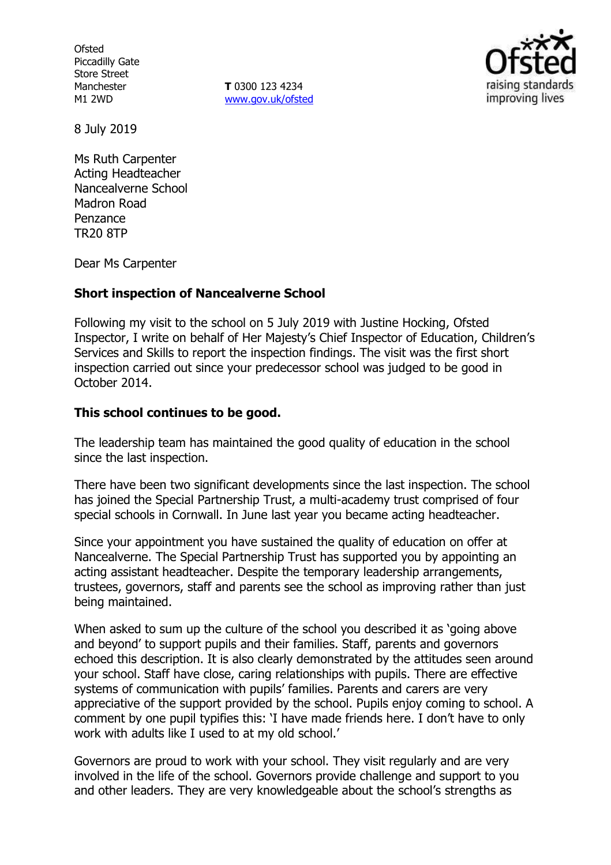**Ofsted** Piccadilly Gate Store Street Manchester M1 2WD

**T** 0300 123 4234 [www.gov.uk/ofsted](http://www.gov.uk/ofsted)



8 July 2019

Ms Ruth Carpenter Acting Headteacher Nancealverne School Madron Road Penzance TR20 8TP

Dear Ms Carpenter

#### **Short inspection of Nancealverne School**

Following my visit to the school on 5 July 2019 with Justine Hocking, Ofsted Inspector, I write on behalf of Her Majesty's Chief Inspector of Education, Children's Services and Skills to report the inspection findings. The visit was the first short inspection carried out since your predecessor school was judged to be good in October 2014.

#### **This school continues to be good.**

The leadership team has maintained the good quality of education in the school since the last inspection.

There have been two significant developments since the last inspection. The school has joined the Special Partnership Trust, a multi-academy trust comprised of four special schools in Cornwall. In June last year you became acting headteacher.

Since your appointment you have sustained the quality of education on offer at Nancealverne. The Special Partnership Trust has supported you by appointing an acting assistant headteacher. Despite the temporary leadership arrangements, trustees, governors, staff and parents see the school as improving rather than just being maintained.

When asked to sum up the culture of the school you described it as 'going above and beyond' to support pupils and their families. Staff, parents and governors echoed this description. It is also clearly demonstrated by the attitudes seen around your school. Staff have close, caring relationships with pupils. There are effective systems of communication with pupils' families. Parents and carers are very appreciative of the support provided by the school. Pupils enjoy coming to school. A comment by one pupil typifies this: 'I have made friends here. I don't have to only work with adults like I used to at my old school.'

Governors are proud to work with your school. They visit regularly and are very involved in the life of the school. Governors provide challenge and support to you and other leaders. They are very knowledgeable about the school's strengths as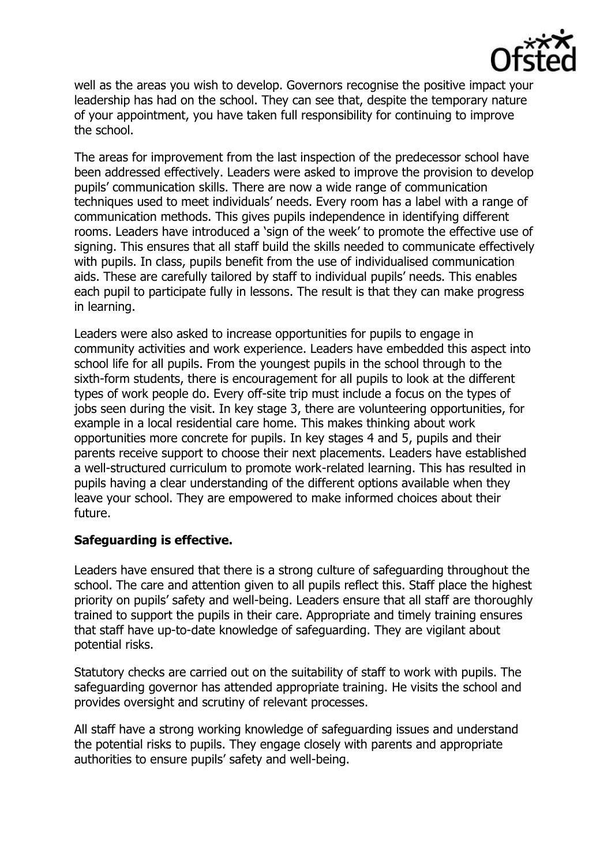

well as the areas you wish to develop. Governors recognise the positive impact your leadership has had on the school. They can see that, despite the temporary nature of your appointment, you have taken full responsibility for continuing to improve the school.

The areas for improvement from the last inspection of the predecessor school have been addressed effectively. Leaders were asked to improve the provision to develop pupils' communication skills. There are now a wide range of communication techniques used to meet individuals' needs. Every room has a label with a range of communication methods. This gives pupils independence in identifying different rooms. Leaders have introduced a 'sign of the week' to promote the effective use of signing. This ensures that all staff build the skills needed to communicate effectively with pupils. In class, pupils benefit from the use of individualised communication aids. These are carefully tailored by staff to individual pupils' needs. This enables each pupil to participate fully in lessons. The result is that they can make progress in learning.

Leaders were also asked to increase opportunities for pupils to engage in community activities and work experience. Leaders have embedded this aspect into school life for all pupils. From the youngest pupils in the school through to the sixth-form students, there is encouragement for all pupils to look at the different types of work people do. Every off-site trip must include a focus on the types of iobs seen during the visit. In key stage 3, there are volunteering opportunities, for example in a local residential care home. This makes thinking about work opportunities more concrete for pupils. In key stages 4 and 5, pupils and their parents receive support to choose their next placements. Leaders have established a well-structured curriculum to promote work-related learning. This has resulted in pupils having a clear understanding of the different options available when they leave your school. They are empowered to make informed choices about their future.

# **Safeguarding is effective.**

Leaders have ensured that there is a strong culture of safeguarding throughout the school. The care and attention given to all pupils reflect this. Staff place the highest priority on pupils' safety and well-being. Leaders ensure that all staff are thoroughly trained to support the pupils in their care. Appropriate and timely training ensures that staff have up-to-date knowledge of safeguarding. They are vigilant about potential risks.

Statutory checks are carried out on the suitability of staff to work with pupils. The safeguarding governor has attended appropriate training. He visits the school and provides oversight and scrutiny of relevant processes.

All staff have a strong working knowledge of safeguarding issues and understand the potential risks to pupils. They engage closely with parents and appropriate authorities to ensure pupils' safety and well-being.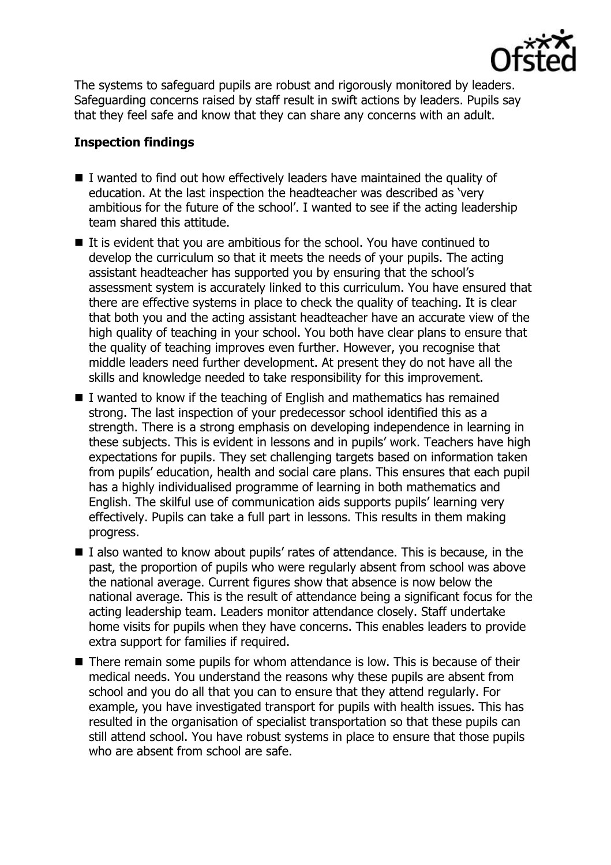

The systems to safeguard pupils are robust and rigorously monitored by leaders. Safeguarding concerns raised by staff result in swift actions by leaders. Pupils say that they feel safe and know that they can share any concerns with an adult.

# **Inspection findings**

- I wanted to find out how effectively leaders have maintained the quality of education. At the last inspection the headteacher was described as 'very ambitious for the future of the school'. I wanted to see if the acting leadership team shared this attitude.
- It is evident that you are ambitious for the school. You have continued to develop the curriculum so that it meets the needs of your pupils. The acting assistant headteacher has supported you by ensuring that the school's assessment system is accurately linked to this curriculum. You have ensured that there are effective systems in place to check the quality of teaching. It is clear that both you and the acting assistant headteacher have an accurate view of the high quality of teaching in your school. You both have clear plans to ensure that the quality of teaching improves even further. However, you recognise that middle leaders need further development. At present they do not have all the skills and knowledge needed to take responsibility for this improvement.
- I wanted to know if the teaching of English and mathematics has remained strong. The last inspection of your predecessor school identified this as a strength. There is a strong emphasis on developing independence in learning in these subjects. This is evident in lessons and in pupils' work. Teachers have high expectations for pupils. They set challenging targets based on information taken from pupils' education, health and social care plans. This ensures that each pupil has a highly individualised programme of learning in both mathematics and English. The skilful use of communication aids supports pupils' learning very effectively. Pupils can take a full part in lessons. This results in them making progress.
- I also wanted to know about pupils' rates of attendance. This is because, in the past, the proportion of pupils who were regularly absent from school was above the national average. Current figures show that absence is now below the national average. This is the result of attendance being a significant focus for the acting leadership team. Leaders monitor attendance closely. Staff undertake home visits for pupils when they have concerns. This enables leaders to provide extra support for families if required.
- There remain some pupils for whom attendance is low. This is because of their medical needs. You understand the reasons why these pupils are absent from school and you do all that you can to ensure that they attend regularly. For example, you have investigated transport for pupils with health issues. This has resulted in the organisation of specialist transportation so that these pupils can still attend school. You have robust systems in place to ensure that those pupils who are absent from school are safe.